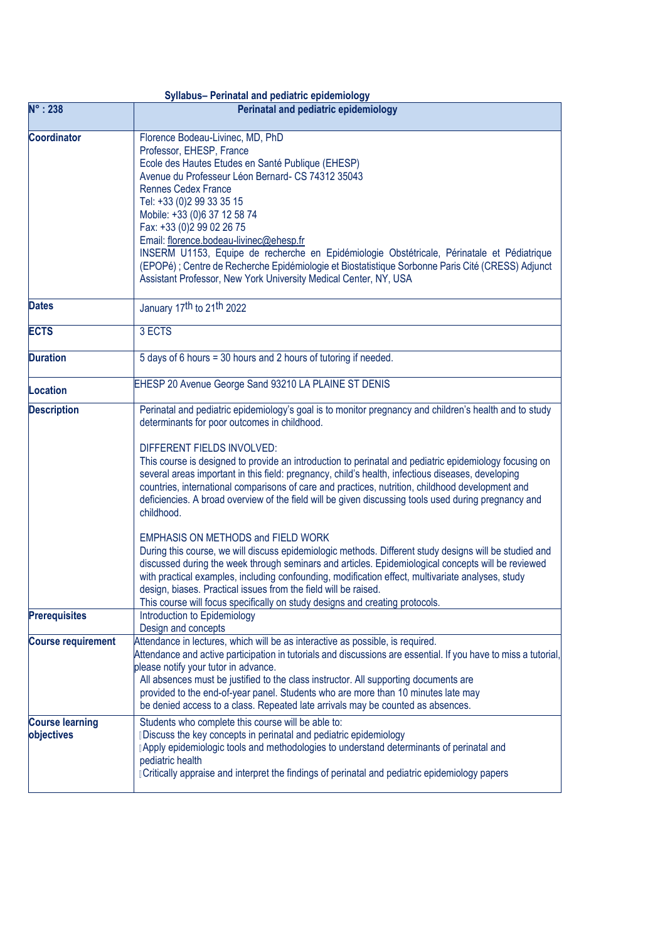| Syllabus- Perinatal and pediatric epidemiology |                                                                                                                                                                                                                                                                                                                                                                                                                                                                                                                   |
|------------------------------------------------|-------------------------------------------------------------------------------------------------------------------------------------------------------------------------------------------------------------------------------------------------------------------------------------------------------------------------------------------------------------------------------------------------------------------------------------------------------------------------------------------------------------------|
| $N^\circ: 238$                                 | Perinatal and pediatric epidemiology                                                                                                                                                                                                                                                                                                                                                                                                                                                                              |
| <b>Coordinator</b>                             | Florence Bodeau-Livinec, MD, PhD<br>Professor, EHESP, France<br>Ecole des Hautes Etudes en Santé Publique (EHESP)                                                                                                                                                                                                                                                                                                                                                                                                 |
|                                                | Avenue du Professeur Léon Bernard- CS 74312 35043<br><b>Rennes Cedex France</b><br>Tel: +33 (0)2 99 33 35 15                                                                                                                                                                                                                                                                                                                                                                                                      |
|                                                | Mobile: +33 (0)6 37 12 58 74<br>Fax: +33 (0)2 99 02 26 75                                                                                                                                                                                                                                                                                                                                                                                                                                                         |
|                                                | Email: florence.bodeau-livinec@ehesp.fr<br>INSERM U1153, Equipe de recherche en Epidémiologie Obstétricale, Périnatale et Pédiatrique<br>(EPOPé) ; Centre de Recherche Epidémiologie et Biostatistique Sorbonne Paris Cité (CRESS) Adjunct<br>Assistant Professor, New York University Medical Center, NY, USA                                                                                                                                                                                                    |
| <b>Dates</b>                                   | January 17th to 21th 2022                                                                                                                                                                                                                                                                                                                                                                                                                                                                                         |
| <b>ECTS</b>                                    | 3 ECTS                                                                                                                                                                                                                                                                                                                                                                                                                                                                                                            |
| <b>Duration</b>                                | 5 days of 6 hours = 30 hours and 2 hours of tutoring if needed.                                                                                                                                                                                                                                                                                                                                                                                                                                                   |
| Location                                       | EHESP 20 Avenue George Sand 93210 LA PLAINE ST DENIS                                                                                                                                                                                                                                                                                                                                                                                                                                                              |
| <b>Description</b>                             | Perinatal and pediatric epidemiology's goal is to monitor pregnancy and children's health and to study<br>determinants for poor outcomes in childhood.                                                                                                                                                                                                                                                                                                                                                            |
|                                                | DIFFERENT FIELDS INVOLVED:<br>This course is designed to provide an introduction to perinatal and pediatric epidemiology focusing on<br>several areas important in this field: pregnancy, child's health, infectious diseases, developing<br>countries, international comparisons of care and practices, nutrition, childhood development and<br>deficiencies. A broad overview of the field will be given discussing tools used during pregnancy and<br>childhood.                                               |
|                                                | <b>EMPHASIS ON METHODS and FIELD WORK</b><br>During this course, we will discuss epidemiologic methods. Different study designs will be studied and<br>discussed during the week through seminars and articles. Epidemiological concepts will be reviewed<br>with practical examples, including confounding, modification effect, multivariate analyses, study<br>design, biases. Practical issues from the field will be raised.<br>This course will focus specifically on study designs and creating protocols. |
| <b>Prerequisites</b>                           | Introduction to Epidemiology<br>Design and concepts                                                                                                                                                                                                                                                                                                                                                                                                                                                               |
| <b>Course requirement</b>                      | Attendance in lectures, which will be as interactive as possible, is required.<br>Attendance and active participation in tutorials and discussions are essential. If you have to miss a tutorial,<br>please notify your tutor in advance.<br>All absences must be justified to the class instructor. All supporting documents are<br>provided to the end-of-year panel. Students who are more than 10 minutes late may<br>be denied access to a class. Repeated late arrivals may be counted as absences.         |
| <b>Course learning</b><br>objectives           | Students who complete this course will be able to:<br>Discuss the key concepts in perinatal and pediatric epidemiology<br>Apply epidemiologic tools and methodologies to understand determinants of perinatal and<br>pediatric health<br>Critically appraise and interpret the findings of perinatal and pediatric epidemiology papers                                                                                                                                                                            |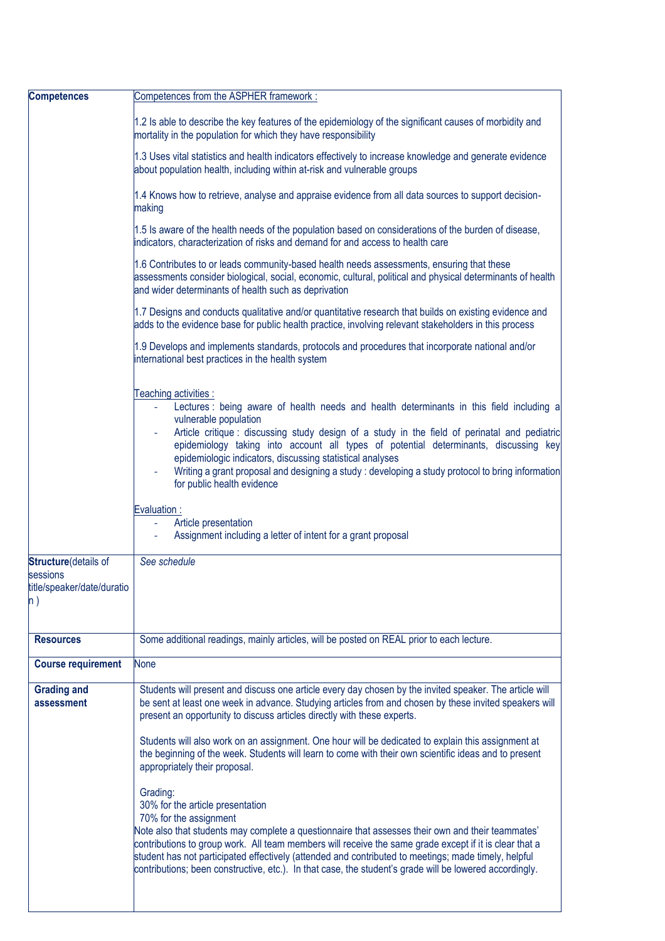| <b>Competences</b>                                                                | Competences from the ASPHER framework:                                                                                                                                                                                                                                                                                                                                                                                                                                                                                             |
|-----------------------------------------------------------------------------------|------------------------------------------------------------------------------------------------------------------------------------------------------------------------------------------------------------------------------------------------------------------------------------------------------------------------------------------------------------------------------------------------------------------------------------------------------------------------------------------------------------------------------------|
|                                                                                   | 1.2 Is able to describe the key features of the epidemiology of the significant causes of morbidity and<br>mortality in the population for which they have responsibility                                                                                                                                                                                                                                                                                                                                                          |
|                                                                                   | 1.3 Uses vital statistics and health indicators effectively to increase knowledge and generate evidence<br>about population health, including within at-risk and vulnerable groups                                                                                                                                                                                                                                                                                                                                                 |
|                                                                                   | 1.4 Knows how to retrieve, analyse and appraise evidence from all data sources to support decision-<br>making                                                                                                                                                                                                                                                                                                                                                                                                                      |
|                                                                                   | 1.5 Is aware of the health needs of the population based on considerations of the burden of disease,<br>indicators, characterization of risks and demand for and access to health care                                                                                                                                                                                                                                                                                                                                             |
|                                                                                   | 1.6 Contributes to or leads community-based health needs assessments, ensuring that these<br>assessments consider biological, social, economic, cultural, political and physical determinants of health<br>and wider determinants of health such as deprivation                                                                                                                                                                                                                                                                    |
|                                                                                   | 1.7 Designs and conducts qualitative and/or quantitative research that builds on existing evidence and<br>adds to the evidence base for public health practice, involving relevant stakeholders in this process                                                                                                                                                                                                                                                                                                                    |
|                                                                                   | 1.9 Develops and implements standards, protocols and procedures that incorporate national and/or<br>international best practices in the health system                                                                                                                                                                                                                                                                                                                                                                              |
|                                                                                   | Teaching activities :<br>Lectures : being aware of health needs and health determinants in this field including a<br>vulnerable population<br>Article critique : discussing study design of a study in the field of perinatal and pediatric<br>epidemiology taking into account all types of potential determinants, discussing key<br>epidemiologic indicators, discussing statistical analyses<br>Writing a grant proposal and designing a study: developing a study protocol to bring information<br>for public health evidence |
|                                                                                   | Evaluation:<br>Article presentation<br>Assignment including a letter of intent for a grant proposal                                                                                                                                                                                                                                                                                                                                                                                                                                |
| <b>Structure</b> (details of<br>sessions<br>title/speaker/date/duratio<br>$\ln$ ) | See schedule                                                                                                                                                                                                                                                                                                                                                                                                                                                                                                                       |
| <b>Resources</b>                                                                  | Some additional readings, mainly articles, will be posted on REAL prior to each lecture.                                                                                                                                                                                                                                                                                                                                                                                                                                           |
| <b>Course requirement</b>                                                         | <b>None</b>                                                                                                                                                                                                                                                                                                                                                                                                                                                                                                                        |
| <b>Grading and</b><br>assessment                                                  | Students will present and discuss one article every day chosen by the invited speaker. The article will<br>be sent at least one week in advance. Studying articles from and chosen by these invited speakers will<br>present an opportunity to discuss articles directly with these experts.                                                                                                                                                                                                                                       |
|                                                                                   | Students will also work on an assignment. One hour will be dedicated to explain this assignment at<br>the beginning of the week. Students will learn to come with their own scientific ideas and to present<br>appropriately their proposal.                                                                                                                                                                                                                                                                                       |
|                                                                                   | Grading:<br>30% for the article presentation<br>70% for the assignment<br>Note also that students may complete a questionnaire that assesses their own and their teammates'<br>contributions to group work. All team members will receive the same grade except if it is clear that a<br>student has not participated effectively (attended and contributed to meetings; made timely, helpful<br>contributions; been constructive, etc.). In that case, the student's grade will be lowered accordingly.                           |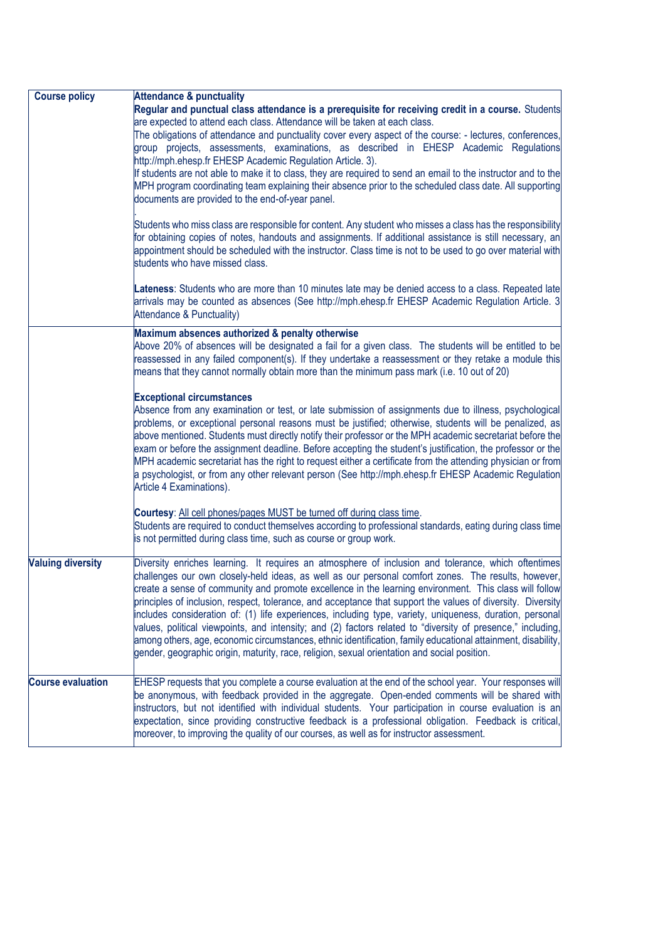| <b>Course policy</b>     | <b>Attendance &amp; punctuality</b>                                                                                                                                                                                    |
|--------------------------|------------------------------------------------------------------------------------------------------------------------------------------------------------------------------------------------------------------------|
|                          | Regular and punctual class attendance is a prerequisite for receiving credit in a course. Students                                                                                                                     |
|                          | are expected to attend each class. Attendance will be taken at each class.                                                                                                                                             |
|                          | The obligations of attendance and punctuality cover every aspect of the course: - lectures, conferences,                                                                                                               |
|                          | group projects, assessments, examinations, as described in EHESP Academic Regulations                                                                                                                                  |
|                          | http://mph.ehesp.fr EHESP Academic Regulation Article. 3).                                                                                                                                                             |
|                          | If students are not able to make it to class, they are required to send an email to the instructor and to the                                                                                                          |
|                          | MPH program coordinating team explaining their absence prior to the scheduled class date. All supporting                                                                                                               |
|                          | documents are provided to the end-of-year panel.                                                                                                                                                                       |
|                          |                                                                                                                                                                                                                        |
|                          | Students who miss class are responsible for content. Any student who misses a class has the responsibility<br>for obtaining copies of notes, handouts and assignments. If additional assistance is still necessary, an |
|                          | appointment should be scheduled with the instructor. Class time is not to be used to go over material with                                                                                                             |
|                          | students who have missed class.                                                                                                                                                                                        |
|                          |                                                                                                                                                                                                                        |
|                          | Lateness: Students who are more than 10 minutes late may be denied access to a class. Repeated late                                                                                                                    |
|                          | arrivals may be counted as absences (See http://mph.ehesp.fr EHESP Academic Regulation Article. 3                                                                                                                      |
|                          | Attendance & Punctuality)                                                                                                                                                                                              |
|                          | Maximum absences authorized & penalty otherwise                                                                                                                                                                        |
|                          | Above 20% of absences will be designated a fail for a given class. The students will be entitled to be                                                                                                                 |
|                          | reassessed in any failed component(s). If they undertake a reassessment or they retake a module this                                                                                                                   |
|                          | means that they cannot normally obtain more than the minimum pass mark (i.e. 10 out of 20)                                                                                                                             |
|                          |                                                                                                                                                                                                                        |
|                          | <b>Exceptional circumstances</b>                                                                                                                                                                                       |
|                          | Absence from any examination or test, or late submission of assignments due to illness, psychological                                                                                                                  |
|                          | problems, or exceptional personal reasons must be justified; otherwise, students will be penalized, as                                                                                                                 |
|                          | above mentioned. Students must directly notify their professor or the MPH academic secretariat before the                                                                                                              |
|                          | exam or before the assignment deadline. Before accepting the student's justification, the professor or the                                                                                                             |
|                          | MPH academic secretariat has the right to request either a certificate from the attending physician or from                                                                                                            |
|                          | a psychologist, or from any other relevant person (See http://mph.ehesp.fr EHESP Academic Regulation                                                                                                                   |
|                          | Article 4 Examinations).                                                                                                                                                                                               |
|                          | Courtesy: All cell phones/pages MUST be turned off during class time.                                                                                                                                                  |
|                          | Students are required to conduct themselves according to professional standards, eating during class time                                                                                                              |
|                          | is not permitted during class time, such as course or group work.                                                                                                                                                      |
|                          |                                                                                                                                                                                                                        |
| <b>Valuing diversity</b> | Diversity enriches learning. It requires an atmosphere of inclusion and tolerance, which oftentimes                                                                                                                    |
|                          | challenges our own closely-held ideas, as well as our personal comfort zones. The results, however,                                                                                                                    |
|                          | create a sense of community and promote excellence in the learning environment. This class will follow                                                                                                                 |
|                          | principles of inclusion, respect, tolerance, and acceptance that support the values of diversity. Diversity                                                                                                            |
|                          | includes consideration of: (1) life experiences, including type, variety, uniqueness, duration, personal                                                                                                               |
|                          | values, political viewpoints, and intensity; and (2) factors related to "diversity of presence," including,                                                                                                            |
|                          | among others, age, economic circumstances, ethnic identification, family educational attainment, disability,                                                                                                           |
|                          | gender, geographic origin, maturity, race, religion, sexual orientation and social position.                                                                                                                           |
|                          |                                                                                                                                                                                                                        |
| <b>Course evaluation</b> | EHESP requests that you complete a course evaluation at the end of the school year. Your responses will                                                                                                                |
|                          | be anonymous, with feedback provided in the aggregate. Open-ended comments will be shared with                                                                                                                         |
|                          | instructors, but not identified with individual students. Your participation in course evaluation is an                                                                                                                |
|                          | expectation, since providing constructive feedback is a professional obligation. Feedback is critical,                                                                                                                 |
|                          | moreover, to improving the quality of our courses, as well as for instructor assessment.                                                                                                                               |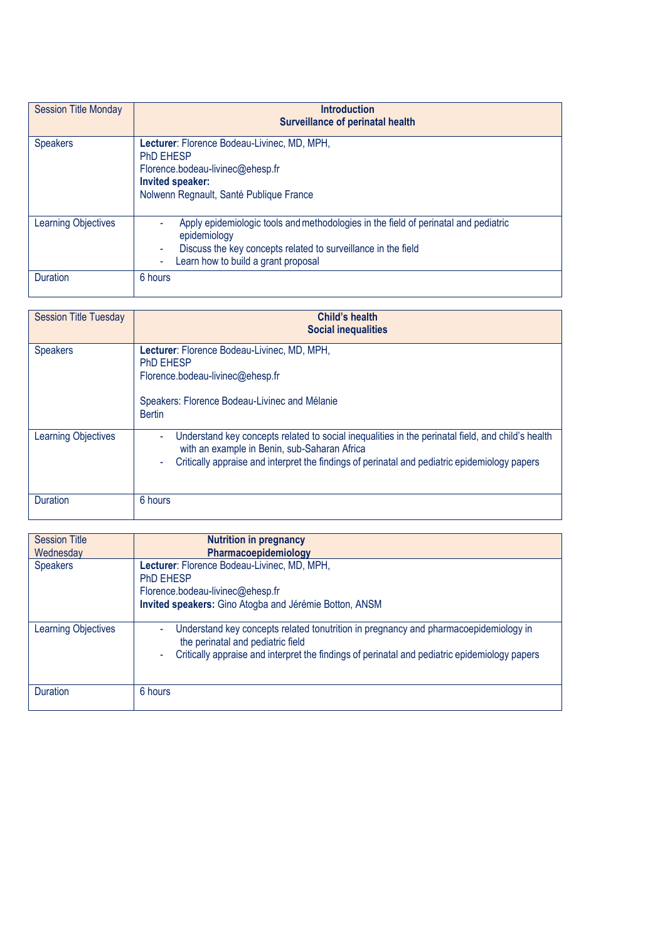| <b>Session Title Monday</b> | <b>Introduction</b><br><b>Surveillance of perinatal health</b>                                                                                                                                              |
|-----------------------------|-------------------------------------------------------------------------------------------------------------------------------------------------------------------------------------------------------------|
| <b>Speakers</b>             | Lecturer: Florence Bodeau-Livinec, MD, MPH,<br><b>PhD EHESP</b><br>Florence.bodeau-livinec@ehesp.fr<br>Invited speaker:<br>Nolwenn Regnault, Santé Publique France                                          |
| <b>Learning Objectives</b>  | Apply epidemiologic tools and methodologies in the field of perinatal and pediatric<br>epidemiology<br>Discuss the key concepts related to surveillance in the field<br>Learn how to build a grant proposal |
| Duration                    | 6 hours                                                                                                                                                                                                     |

| <b>Session Title Tuesday</b> | Child's health<br><b>Social inequalities</b>                                                                                                                                                                                                                              |
|------------------------------|---------------------------------------------------------------------------------------------------------------------------------------------------------------------------------------------------------------------------------------------------------------------------|
| <b>Speakers</b>              | Lecturer: Florence Bodeau-Livinec, MD, MPH,<br><b>PhD EHESP</b><br>Florence.bodeau-livinec@ehesp.fr<br>Speakers: Florence Bodeau-Livinec and Mélanie<br><b>Bertin</b>                                                                                                     |
| <b>Learning Objectives</b>   | Understand key concepts related to social inequalities in the perinatal field, and child's health<br>$\blacksquare$<br>with an example in Benin, sub-Saharan Africa<br>Critically appraise and interpret the findings of perinatal and pediatric epidemiology papers<br>٠ |
| Duration                     | 6 hours                                                                                                                                                                                                                                                                   |

| <b>Session Title</b>       | <b>Nutrition in pregnancy</b>                                                                                                                                                                                              |
|----------------------------|----------------------------------------------------------------------------------------------------------------------------------------------------------------------------------------------------------------------------|
| Wednesday                  | Pharmacoepidemiology                                                                                                                                                                                                       |
| <b>Speakers</b>            | Lecturer: Florence Bodeau-Livinec, MD, MPH,<br><b>PhD EHESP</b><br>Florence.bodeau-livinec@ehesp.fr<br>Invited speakers: Gino Atogba and Jérémie Botton, ANSM                                                              |
| <b>Learning Objectives</b> | Understand key concepts related tonutrition in pregnancy and pharmacoepidemiology in<br>the perinatal and pediatric field<br>Critically appraise and interpret the findings of perinatal and pediatric epidemiology papers |
| <b>Duration</b>            | 6 hours                                                                                                                                                                                                                    |